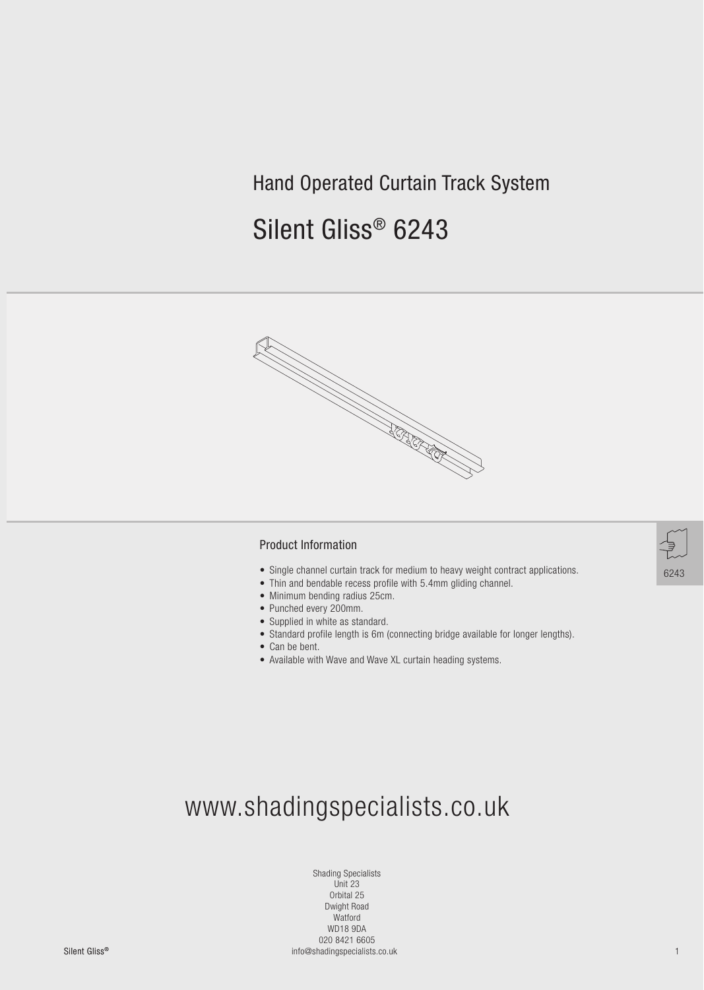## Hand Operated Curtain Track System

# Silent Gliss® 6243



#### Product Information

- Single channel curtain track for medium to heavy weight contract applications.
- Thin and bendable recess profile with 5.4mm gliding channel.
- Minimum bending radius 25cm.
- Punched every 200mm.
- Supplied in white as standard.
- Standard profile length is 6m (connecting bridge available for longer lengths).
- Can be bent.
- Available with Wave and Wave XL curtain heading systems.



Silent GlissSilent Gliss® 1 info@shadingspecialists.co.uk Shading Specialists Unit 23 Orbital 25 Dwight Road Watford WD18 9DA 020 8421 6605



6243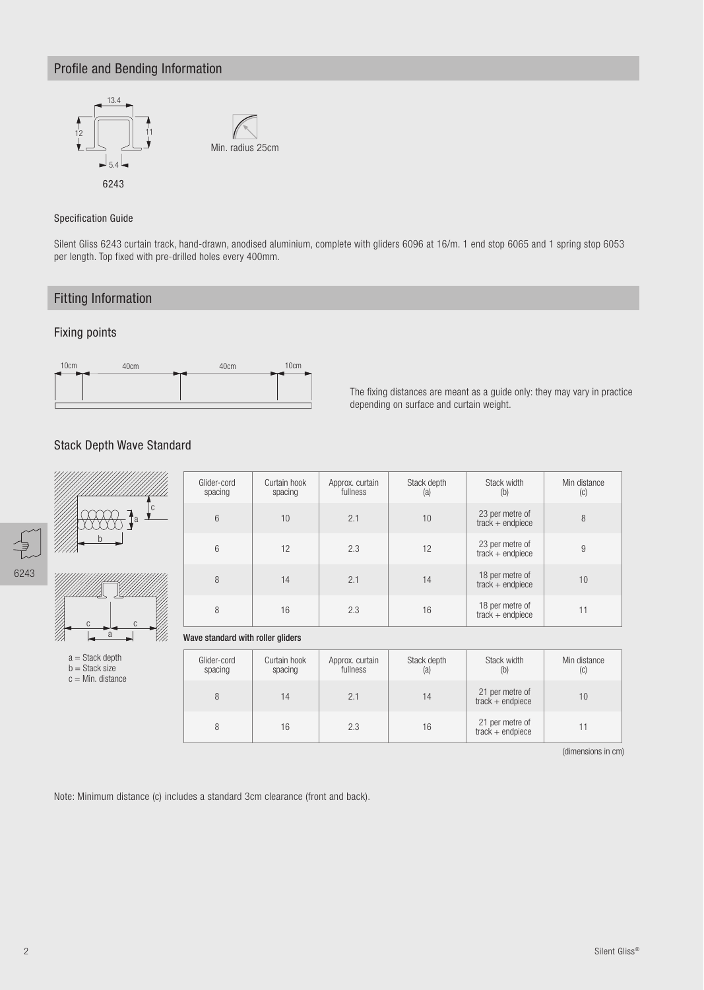### Profile and Bending Information



#### Specification Guide

Silent Gliss 6243 curtain track, hand-drawn, anodised aluminium, complete with gliders 6096 at 16/m. 1 end stop 6065 and 1 spring stop 6053 per length. Top fixed with pre-drilled holes every 400mm.

### Fitting Information

#### Fixing points



The fixing distances are meant as a guide only: they may vary in practice depending on surface and curtain weight.

#### Stack Depth Wave Standard



b = Stack size  $c = Min$ . distance

| Glider-cord<br>Curtain hook<br>spacing<br>spacing |    | Approx. curtain<br>fullness | Stack depth<br>(a) | Stack width<br>(b)                    | Min distance<br>(C) |
|---------------------------------------------------|----|-----------------------------|--------------------|---------------------------------------|---------------------|
| 6                                                 | 10 | 2.1                         | 10                 | 23 per metre of<br>$track + endpiece$ | 8                   |
| 6                                                 | 12 | 2.3                         | 12                 | 23 per metre of<br>$track + endpiece$ | 9                   |
| 8                                                 | 14 | 2.1                         | 14                 | 18 per metre of<br>$track + endpiece$ | 10                  |
| 8                                                 | 16 | 2.3                         | 16                 | 18 per metre of<br>$track + endpiece$ | 11                  |

#### Wave standard with roller gliders

| Glider-cord<br>spacing | Curtain hook<br>spacing | Approx. curtain<br>fullness | Stack depth<br>(a) | Stack width<br>(b)                    | Min distance<br>(C) |
|------------------------|-------------------------|-----------------------------|--------------------|---------------------------------------|---------------------|
| 8                      | $\overline{4}$          | 2.1                         | 14                 | 21 per metre of<br>$track + endpiece$ | 10                  |
| 8                      | 16                      | 2.3                         | 16                 | 21 per metre of<br>$track + endpiece$ |                     |

(dimensions in cm)

Note: Minimum distance (c) includes a standard 3cm clearance (front and back).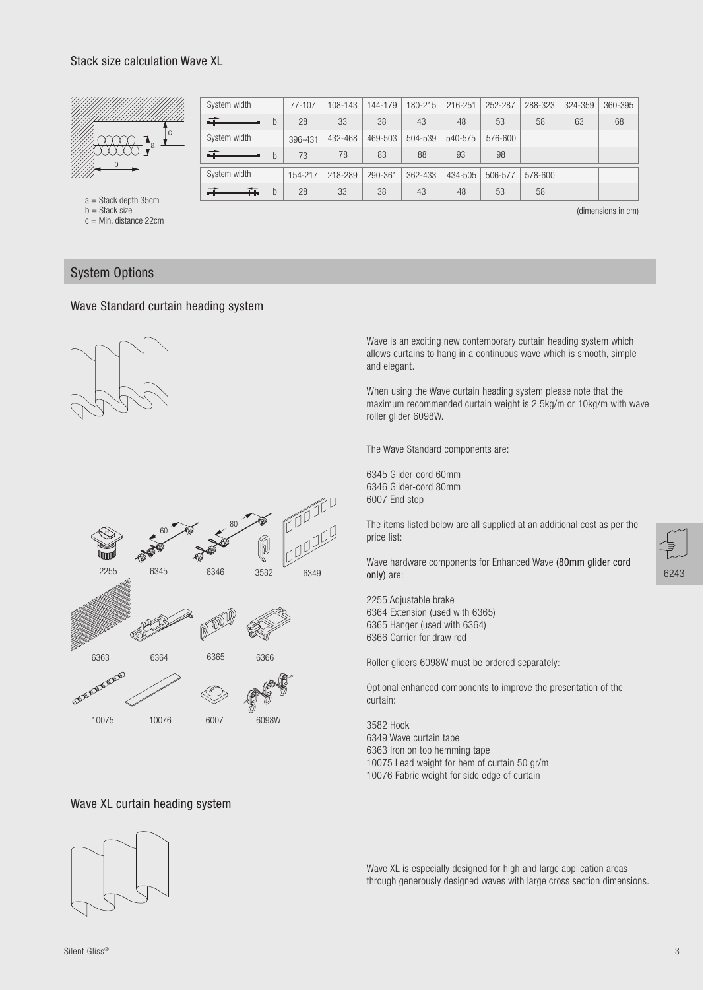#### Stack size calculation Wave XL



| System width |   | $77 - 107$ | 108-143 | 144-179 | 180-215 | 216-251 | 252-287 | 288-323 | 324-359 | 360-395 |
|--------------|---|------------|---------|---------|---------|---------|---------|---------|---------|---------|
| <del>輔</del> | b | 28         | 33      | 38      | 43      | 48      | 53      | 58      | 63      | 68      |
| System width |   | 396-431    | 432-468 | 469-503 | 504-539 | 540-575 | 576-600 |         |         |         |
| <del>輔</del> | b | 73         | 78      | 83      | 88      | 93      | 98      |         |         |         |
| System width |   | 154-217    | 218-289 | 290-361 | 362-433 | 434-505 | 506-577 | 578-600 |         |         |
|              |   |            |         |         |         |         |         |         |         |         |

a = Stack depth 35cm

 $b =$ Stack size

c = Min. distance 22cm

(dimensions in cm)

#### System Options

#### Wave Standard curtain heading system





Wave is an exciting new contemporary curtain heading system which allows curtains to hang in a continuous wave which is smooth, simple and elegant.

When using the Wave curtain heading system please note that the maximum recommended curtain weight is 2.5kg/m or 10kg/m with wave roller glider 6098W.

The Wave Standard components are:

6345 Glider-cord 60mm 6346 Glider-cord 80mm 6007 End stop

The items listed below are all supplied at an additional cost as per the price list:

Wave hardware components for Enhanced Wave (80mm glider cord only) are:

2255 Adjustable brake 6364 Extension (used with 6365) 6365 Hanger (used with 6364) 6366 Carrier for draw rod

Roller gliders 6098W must be ordered separately:

Optional enhanced components to improve the presentation of the curtain:

3582 Hook 6349 Wave curtain tape 6363 Iron on top hemming tape 10075 Lead weight for hem of curtain 50 gr/m 10076 Fabric weight for side edge of curtain

Wave XL is especially designed for high and large application areas through generously designed waves with large cross section dimensions.





6243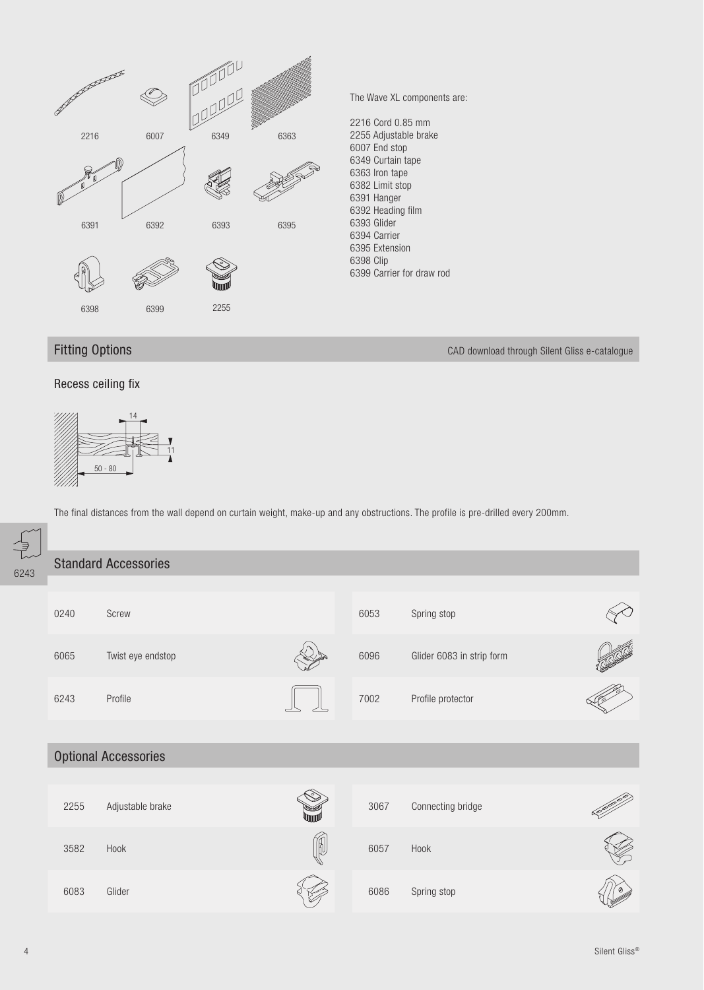

Fitting Options CAD download through Silent Gliss e-catalogue

#### Recess ceiling fix



The final distances from the wall depend on curtain weight, make-up and any obstructions. The profile is pre-drilled every 200mm.

| z<br>V<br>43 |      | <b>Standard Accessories</b> |    |      |                           |  |
|--------------|------|-----------------------------|----|------|---------------------------|--|
|              | 0240 | Screw                       |    | 6053 | Spring stop               |  |
|              | 6065 | Twist eye endstop           |    | 6096 | Glider 6083 in strip form |  |
|              | 6243 | Profile                     |    | 7002 | Profile protector         |  |
|              |      | <b>Optional Accessories</b> |    |      |                           |  |
|              |      |                             |    |      |                           |  |
|              | 2255 | Adjustable brake            |    | 3067 | Connecting bridge         |  |
|              | 3582 | Hook                        | N. | 6057 | Hook                      |  |
|              | 6083 | Glider                      |    | 6086 | Spring stop               |  |

62